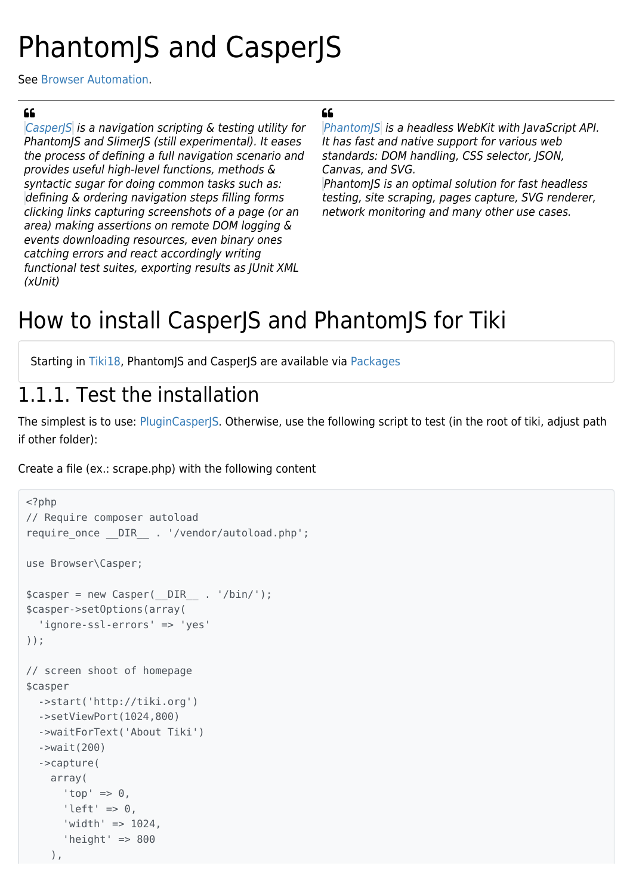# PhantomJS and CasperJS

See [Browser Automation.](https://doc.tiki.org/Browser-Automation)

#### $66$

Casper/S is a navigation scripting & testing utility for PhantomJS and SlimerJS (still experimental). It eases the process of defining a full navigation scenario and provides useful high-level functions, methods & syntactic sugar for doing common tasks such as: defining & ordering navigation steps filling forms clicking links capturing screenshots of a page (or an area) making assertions on remote DOM logging & events downloading resources, even binary ones catching errors and react accordingly writing functional test suites, exporting results as JUnit XML (xUnit)

#### $66$

[PhantomJS](http://phantomjs.org/) is a headless WebKit with JavaScript API. It has fast and native support for various web standards: DOM handling, CSS selector, JSON, Canvas, and SVG.

PhantomJS is an optimal solution for fast headless testing, site scraping, pages capture, SVG renderer, network monitoring and many other use cases.

### How to install CasperJS and PhantomJS for Tiki

Starting in [Tiki18](https://doc.tiki.org/Tiki18), PhantomJS and CasperJS are available via [Packages](https://doc.tiki.org/Packages)

### 1.1.1. Test the installation

The simplest is to use: [PluginCasperJS.](https://doc.tiki.org/PluginCasperJS) Otherwise, use the following script to test (in the root of tiki, adjust path if other folder):

Create a file (ex.: scrape.php) with the following content

```
<?php
// Require composer autoload
require once DIR . '/vendor/autoload.php';
use Browser\Casper;
$casper = new Casper(DIR_ : '/bin');
$casper->setOptions(array(
   'ignore-ssl-errors' => 'yes'
));
// screen shoot of homepage
$casper
   ->start('http://tiki.org')
   ->setViewPort(1024,800)
   ->waitForText('About Tiki')
   ->wait(200)
   ->capture(
     array(
       'top' \Rightarrow \theta,
      'left' \Rightarrow \theta,
      'width' => 1024,
       'height' \Rightarrow 800
     ),
```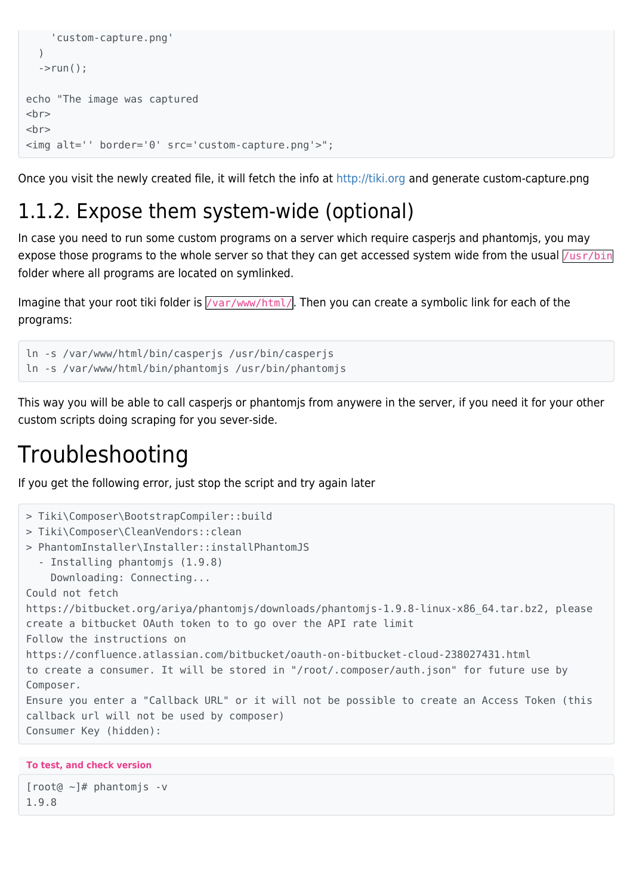```
 'custom-capture.png'
   )
  \rightarrowrun();
echo "The image was captured
chrchr<img alt='' border='0' src='custom-capture.png'>";
```
Once you visit the newly created file, it will fetch the info at <http://tiki.org> and generate custom-capture.png

### 1.1.2. Expose them system-wide (optional)

In case you need to run some custom programs on a server which require casperjs and phantomjs, you may expose those programs to the whole server so that they can get accessed system wide from the usual  $\sqrt{usr/bin}$ folder where all programs are located on symlinked.

Imagine that your root tiki folder is  $\sqrt{var/ww/\text{html}}$ . Then you can create a symbolic link for each of the programs:

```
ln -s /var/www/html/bin/casperjs /usr/bin/casperjs
ln -s /var/www/html/bin/phantomjs /usr/bin/phantomjs
```
This way you will be able to call casperjs or phantomjs from anywere in the server, if you need it for your other custom scripts doing scraping for you sever-side.

### Troubleshooting

If you get the following error, just stop the script and try again later

```
> Tiki\Composer\BootstrapCompiler::build
> Tiki\Composer\CleanVendors::clean
> PhantomInstaller\Installer::installPhantomJS
   - Installing phantomjs (1.9.8)
     Downloading: Connecting...
Could not fetch
https://bitbucket.org/ariya/phantomjs/downloads/phantomjs-1.9.8-linux-x86_64.tar.bz2, please
create a bitbucket OAuth token to to go over the API rate limit
Follow the instructions on
https://confluence.atlassian.com/bitbucket/oauth-on-bitbucket-cloud-238027431.html
to create a consumer. It will be stored in "/root/.composer/auth.json" for future use by
Composer.
Ensure you enter a "Callback URL" or it will not be possible to create an Access Token (this
callback url will not be used by composer)
Consumer Key (hidden):
```

```
To test, and check version
```

```
[root@ ~]# phantomjs -v
1.9.8
```